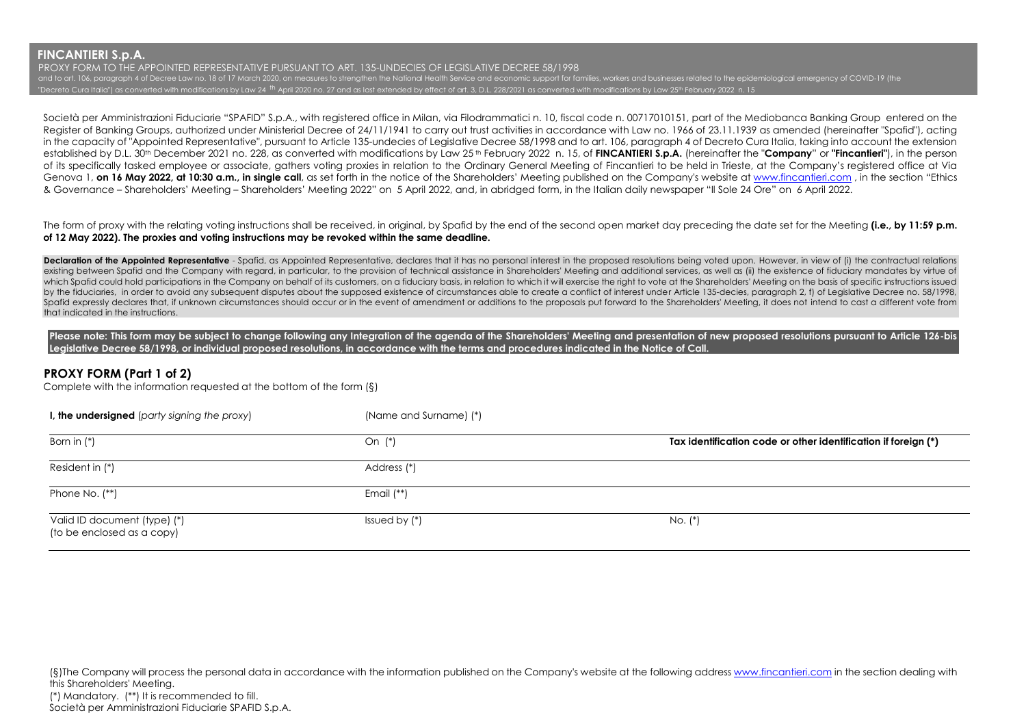PROXY FORM TO THE APPOINTED REPRESENTATIVE PURSUANT TO ART. 135-UNDECIES OF LEGISLATIVE DECREE 58/1998 and to art. 106, paragraph 4 of Decree Law no. 18 of 17 March 2020, on measures to strengthen the National Health Service and economic support for families, workers and businesses related to the epidemiological emergency o "Decreto Cura Italia") as converted with modifications by Law 24 <sup>th</sup> April 2020 no. 27 and as last extended by effect of art. 3, D.L. 228/2021 as converted with modifications by Law 25th February 2022 n. 15

Società per Amministrazioni Fiduciarie "SPAFID" S.p.A., with registered office in Milan, via Filodrammatici n. 10, fiscal code n. 00717010151, part of the Mediobanca Banking Group entered on the Register of Banking Groups, authorized under Ministerial Decree of 24/11/1941 to carry out trust activities in accordance with Law no. 1966 of 23.11.1939 as amended (hereinafter "Spafid"), acting in the capacity of "Appointed Representative", pursuant to Article 135-undecies of Legislative Decree 58/1998 and to art. 106, paragraph 4 of Decreto Cura Italia, taking into account the extension established by D.L. 30th December 2021 no. 228, as converted with modifications by Law 25 th February 2022 n. 15, of **FINCANTIERI S.p.A.** (hereinafter the "**Company**" or **"Fincantieri"**), in the person of its specifically tasked employee or associate, gathers voting proxies in relation to the Ordinary General Meeting of Fincantieri to be held in Trieste, at the Company's registered office at Via Genova 1, **on 16 May 2022, at 10:30 a.m., in single call**, as set forth in the notice of the Shareholders' Meeting published on the Company's website a[t www.fincantieri.com](http://www.fincantieri.com/) , in the section "Ethics & Governance – Shareholders' Meeting – Shareholders' Meeting 2022" on 5 April 2022, and, in abridged form, in the Italian daily newspaper "Il Sole 24 Ore" on 6 April 2022.

The form of proxy with the relating voting instructions shall be received, in original, by Spafid by the end of the second open market day preceding the date set for the Meeting **(i.e., by 11:59 p.m. of 12 May 2022). The proxies and voting instructions may be revoked within the same deadline.**

Declaration of the Appointed Representative - Spafid, as Appointed Representative, declares that it has no personal interest in the proposed resolutions being voted upon. However, in view of (i) the contractual relations existing between Spafid and the Company with regard, in particular, to the provision of technical assistance in Shareholders' Meeting and additional services, as well as (ii) the existence of fiduciary mandates by virtue o which Spafid could hold participations in the Company on behalf of its customers, on a fiduciary basis, in relation to which it will exercise the right to vote at the Shareholders' Meeting on the basis of specific instruct by the fiduciaries, in order to avoid any subsequent disputes about the supposed existence of circumstances able to create a conflict of interest under Article 135-decies, paragraph 2, f) of Legislative Decree no. 58/1998, Spafid expressly declares that, if unknown circumstances should occur or in the event of amendment or additions to the proposals put forward to the Shareholders' Meeting, it does not intend to cast a different vote from that indicated in the instructions.

Please note: This form may be subject to change following any Integration of the agenda of the Shareholders' Meeting and presentation of new proposed resolutions pursuant to Article 126-bis **Legislative Decree 58/1998, or individual proposed resolutions, in accordance with the terms and procedures indicated in the Notice of Call.**

# **PROXY FORM (Part 1 of 2)**

Complete with the information requested at the bottom of the form (§)

| I, the undersigned (party signing the proxy)               | (Name and Surname) (*) |                                                                |
|------------------------------------------------------------|------------------------|----------------------------------------------------------------|
| Born in $(*)$                                              | On (*)                 | Tax identification code or other identification if foreign (*) |
| Resident in (*)                                            | Address (*)            |                                                                |
| Phone No. (**)                                             | Email (**)             |                                                                |
| Valid ID document (type) (*)<br>(to be enclosed as a copy) | Issued by $(*)$        | No. (*)                                                        |

(§)The Company will process the personal data in accordance with the information published on the Company's website at the following addres[s www.fincantieri.com](http://www.fincantieri.com/) in the section dealing with this Shareholders' Meeting. (\*) Mandatory. (\*\*) It is recommended to fill. Società per Amministrazioni Fiduciarie SPAFID S.p.A.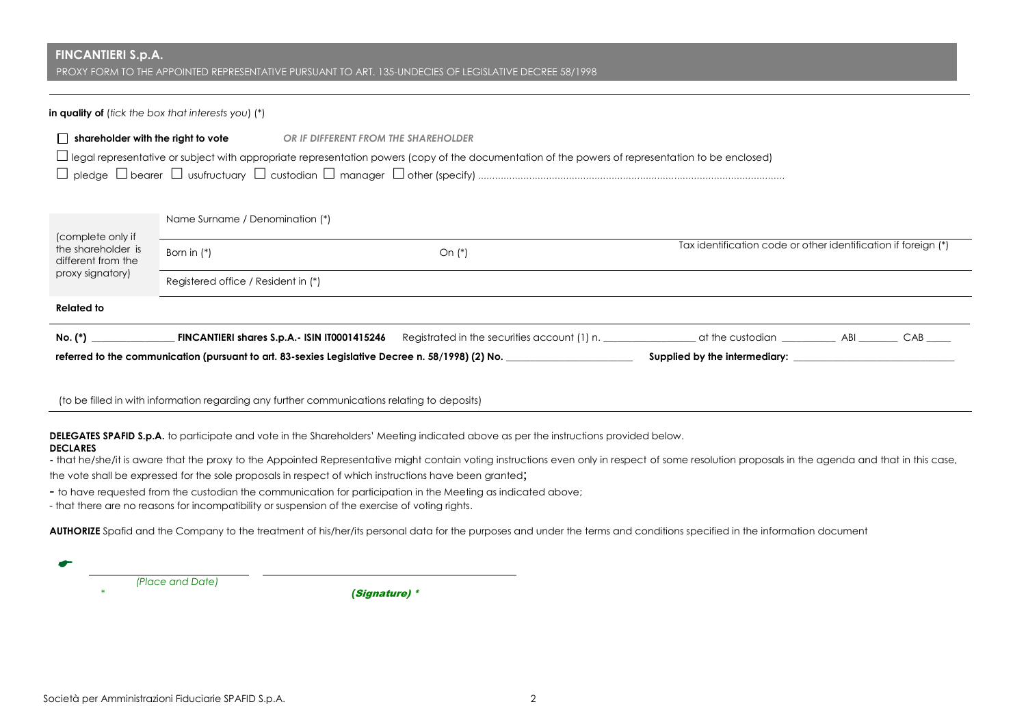PROXY FORM TO THE APPOINTED REPRESENTATIVE PURSUANT TO ART. 135-UNDECIES OF LEGISLATIVE DECREE 58/1998

#### **in quality of** (*tick the box that interests you*) (\*)

| shareholder with the right to vote                                                                                                                       | OR IF DIFFERENT FROM THE SHAREHOLDER |  |  |  |  |
|----------------------------------------------------------------------------------------------------------------------------------------------------------|--------------------------------------|--|--|--|--|
| $\Box$ legal representative or subject with appropriate representation powers (copy of the documentation of the powers of representation to be enclosed) |                                      |  |  |  |  |
|                                                                                                                                                          |                                      |  |  |  |  |

Name Surname / Denomination (\*)

| (complete only if<br>the shareholder is<br>different from the<br>proxy signatory) | Born in $(*)$                                                                                    | On $(*)$                                     | Tax identification code or other identification if foreign (*) |            |  |
|-----------------------------------------------------------------------------------|--------------------------------------------------------------------------------------------------|----------------------------------------------|----------------------------------------------------------------|------------|--|
|                                                                                   | Registered office / Resident in (*)                                                              |                                              |                                                                |            |  |
| <b>Related to</b>                                                                 |                                                                                                  |                                              |                                                                |            |  |
| No. (*)                                                                           | FINCANTIERI shares S.p.A.- ISIN IT0001415246                                                     | Registrated in the securities account (1) n. | at the custodian                                               | CAB<br>ABI |  |
|                                                                                   | referred to the communication (pursuant to art. 83-sexies Legislative Decree n. 58/1998) (2) No. | Supplied by the intermediary:                |                                                                |            |  |

(to be filled in with information regarding any further communications relating to deposits)

**DELEGATES SPAFID S.p.A.** to participate and vote in the Shareholders' Meeting indicated above as per the instructions provided below.

## **DECLARES**

←

**-** that he/she/it is aware that the proxy to the Appointed Representative might contain voting instructions even only in respect of some resolution proposals in the agenda and that in this case,

the vote shall be expressed for the sole proposals in respect of which instructions have been granted;

- to have requested from the custodian the communication for participation in the Meeting as indicated above;

- that there are no reasons for incompatibility or suspension of the exercise of voting rights.

AUTHORIZE Spafid and the Company to the treatment of his/her/its personal data for the purposes and under the terms and conditions specified in the information document

 *(Place and Date)*

*\* (*Signature) \*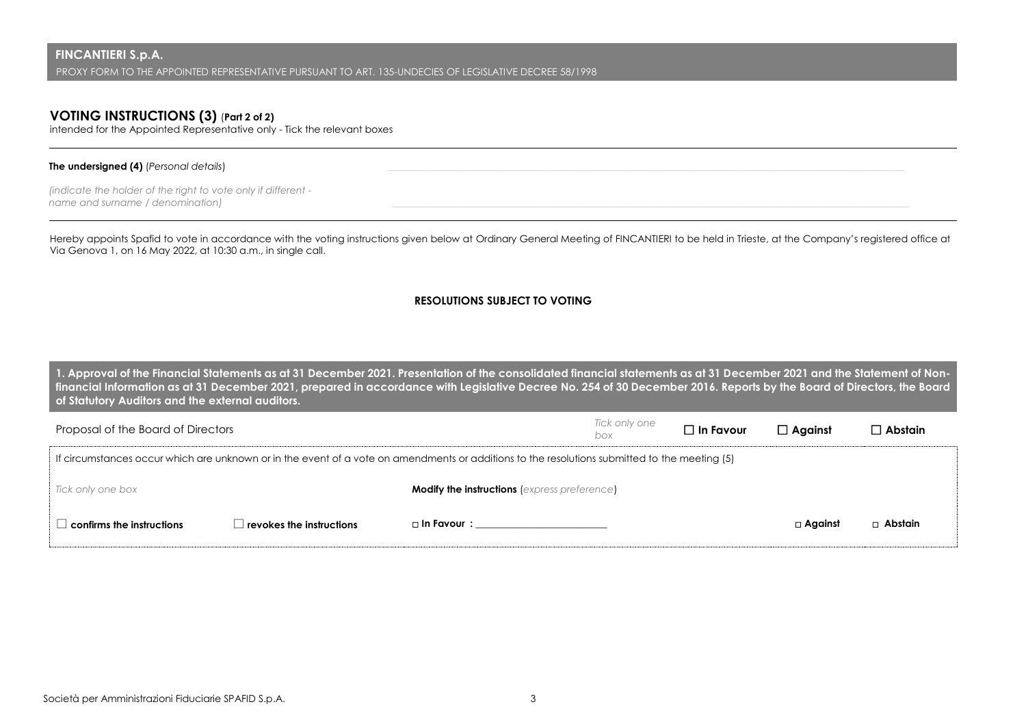# **VOTING INSTRUCTIONS (3)** (**Part 2 of 2)**

intended for the Appointed Representative only - Tick the relevant boxes

### **The undersigned (4)** (*Personal details*)

*(indicate the holder of the right to vote only if different name and surname / denomination) \_\_\_\_\_\_\_\_\_\_\_\_\_\_\_\_\_\_\_\_\_\_\_\_\_\_\_\_\_\_\_\_\_\_\_\_\_\_\_\_\_\_\_\_\_\_\_\_\_\_\_\_\_\_\_\_\_\_\_\_\_\_\_\_\_\_\_\_\_\_\_\_\_\_\_\_\_\_\_\_\_\_\_\_\_\_\_\_\_\_\_\_\_\_\_\_\_\_\_\_\_\_\_\_\_\_* 

Hereby appoints Spafid to vote in accordance with the voting instructions given below at Ordinary General Meeting of FINCANTIERI to be held in Trieste, at the Company's registered office at Via Genova 1, on 16 May 2022, at 10:30 a.m., in single call.

## **RESOLUTIONS SUBJECT TO VOTING**

**1. Approval of the Financial Statements as at 31 December 2021. Presentation of the consolidated financial statements as at 31 December 2021 and the Statement of Nonfinancial Information as at 31 December 2021, prepared in accordance with Legislative Decree No. 254 of 30 December 2016. Reports by the Board of Directors, the Board of Statutory Auditors and the external auditors.**

| Proposal of the Board of Directors  |                          |                                                                                                                                               | Tick only one<br>box | $\Box$ In Favour | $\Box$ Against | $\square$ Abstain |
|-------------------------------------|--------------------------|-----------------------------------------------------------------------------------------------------------------------------------------------|----------------------|------------------|----------------|-------------------|
|                                     |                          | If circumstances occur which are unknown or in the event of a vote on amendments or additions to the resolutions submitted to the meeting (5) |                      |                  |                |                   |
| Tick only one box                   |                          | <b>Modify the instructions (express preference)</b>                                                                                           |                      |                  |                |                   |
| $\,$ confirms the instructions $\,$ | revokes the instructions | □ In Favour :                                                                                                                                 |                      |                  | $\Box$ Against | $\Box$ Abstain    |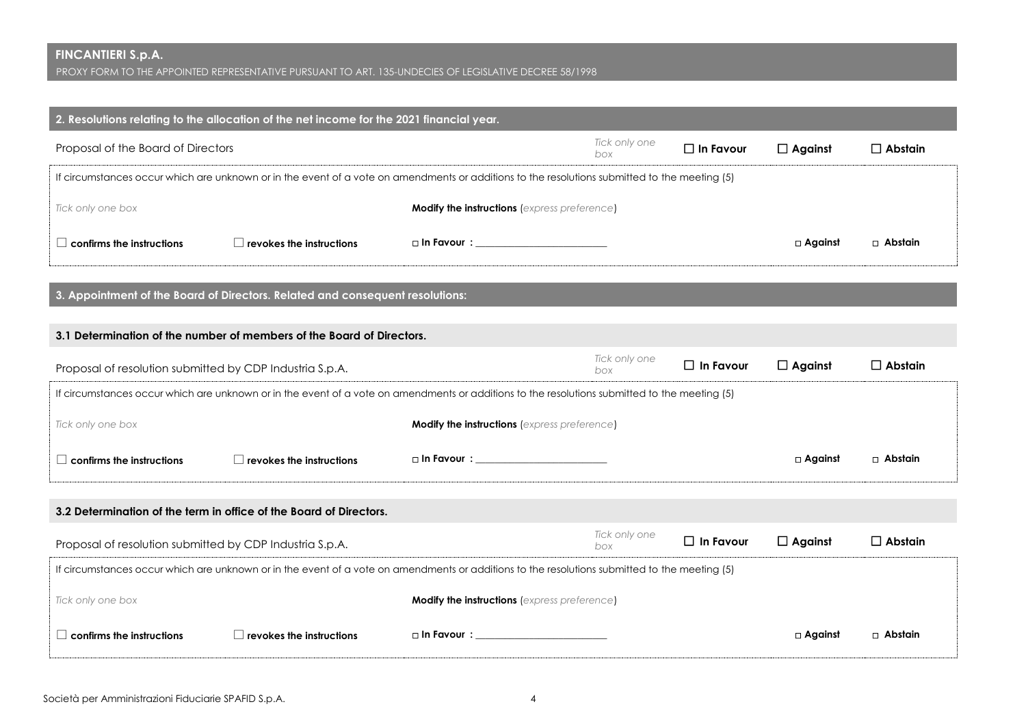PROXY FORM TO THE APPOINTED REPRESENTATIVE PURSUANT TO ART. 135-UNDECIES OF LEGISLATIVE DECREE 58/1998

| 2. Resolutions relating to the allocation of the net income for the 2021 financial year.                                                      |                                        |  |                      |                  |                |                |  |
|-----------------------------------------------------------------------------------------------------------------------------------------------|----------------------------------------|--|----------------------|------------------|----------------|----------------|--|
| Proposal of the Board of Directors                                                                                                            |                                        |  | Tick only one<br>box | $\Box$ In Favour | $\Box$ Against | $\Box$ Abstain |  |
| If circumstances occur which are unknown or in the event of a vote on amendments or additions to the resolutions submitted to the meeting (5) |                                        |  |                      |                  |                |                |  |
| Tick only one box<br><b>Modify the instructions (express preference)</b>                                                                      |                                        |  |                      |                  |                |                |  |
| confirms the instructions                                                                                                                     | $\Box$ revokes the instructions $\Box$ |  |                      |                  | $\Box$ Against | □ Abstain      |  |

**3. Appointment of the Board of Directors. Related and consequent resolutions:**

| 3.1 Determination of the number of members of the Board of Directors.                                                                         |                                                                                                      |                                                                                                                                               |                      |                  |                |                |
|-----------------------------------------------------------------------------------------------------------------------------------------------|------------------------------------------------------------------------------------------------------|-----------------------------------------------------------------------------------------------------------------------------------------------|----------------------|------------------|----------------|----------------|
|                                                                                                                                               | Tick only one<br>$\Box$ In Favour<br>Proposal of resolution submitted by CDP Industria S.p.A.<br>box |                                                                                                                                               |                      |                  |                |                |
|                                                                                                                                               |                                                                                                      | If circumstances occur which are unknown or in the event of a vote on amendments or additions to the resolutions submitted to the meeting (5) |                      |                  |                |                |
| Tick only one box                                                                                                                             |                                                                                                      | <b>Modify the instructions (express preference)</b>                                                                                           |                      |                  |                |                |
| $\Box$ confirms the instructions                                                                                                              | $\Box$ revokes the instructions                                                                      | $\Box$ In Favour $\colon$                                                                                                                     |                      |                  | $\Box$ Against | □ Abstain      |
|                                                                                                                                               | 3.2 Determination of the term in office of the Board of Directors.                                   |                                                                                                                                               |                      |                  |                |                |
| Proposal of resolution submitted by CDP Industria S.p.A.                                                                                      |                                                                                                      |                                                                                                                                               | Tick only one<br>box | $\Box$ In Favour | $\Box$ Against | $\Box$ Abstain |
| If circumstances occur which are unknown or in the event of a vote on amendments or additions to the resolutions submitted to the meeting (5) |                                                                                                      |                                                                                                                                               |                      |                  |                |                |
| Tick only one box                                                                                                                             |                                                                                                      | <b>Modify the instructions (express preference)</b>                                                                                           |                      |                  |                |                |
| $\Box$ confirms the instructions                                                                                                              | $\Box$ revokes the instructions                                                                      | □ In Favour : ____________________________                                                                                                    |                      |                  | □ Against      | □ Abstain      |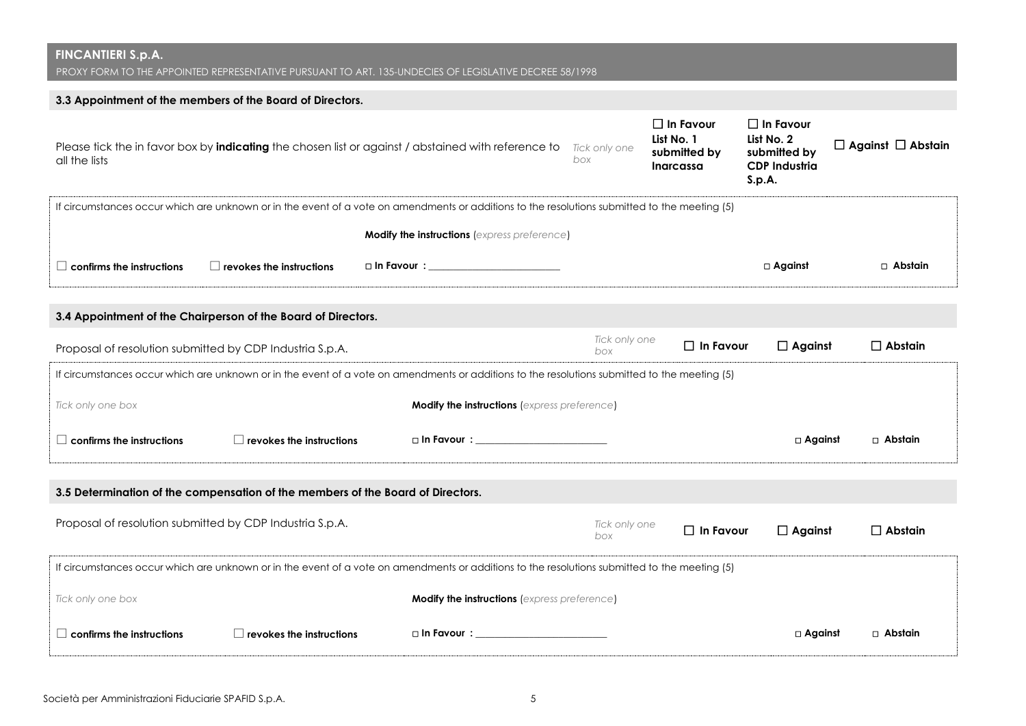PROXY FORM TO THE APPOINTED REPRESENTATIVE PURSUANT TO ART. 135-UNDECIES OF LEGISLATIVE DECREE 58/1998

# **3.3 Appointment of the members of the Board of Directors.**

| all the lists                                                                                                                                 |                                                                                                                                               | Please tick the in favor box by indicating the chosen list or against / abstained with reference to                                           | Tick only one<br>box | $\Box$ In Favour<br>List No. 1<br>submitted by<br>Inarcassa | $\Box$ In Favour<br>List No. 2<br>submitted by<br><b>CDP Industria</b><br>S.p.A. | $\Box$ Against $\Box$ Abstain |  |  |
|-----------------------------------------------------------------------------------------------------------------------------------------------|-----------------------------------------------------------------------------------------------------------------------------------------------|-----------------------------------------------------------------------------------------------------------------------------------------------|----------------------|-------------------------------------------------------------|----------------------------------------------------------------------------------|-------------------------------|--|--|
|                                                                                                                                               | If circumstances occur which are unknown or in the event of a vote on amendments or additions to the resolutions submitted to the meeting (5) |                                                                                                                                               |                      |                                                             |                                                                                  |                               |  |  |
|                                                                                                                                               |                                                                                                                                               | <b>Modify the instructions (express preference)</b>                                                                                           |                      |                                                             |                                                                                  |                               |  |  |
| $\Box$ confirms the instructions                                                                                                              | $\Box$ revokes the instructions                                                                                                               |                                                                                                                                               |                      |                                                             | $\Box$ Against                                                                   | $\Box$ Abstain                |  |  |
|                                                                                                                                               | 3.4 Appointment of the Chairperson of the Board of Directors.                                                                                 |                                                                                                                                               |                      |                                                             |                                                                                  |                               |  |  |
|                                                                                                                                               | Proposal of resolution submitted by CDP Industria S.p.A.                                                                                      |                                                                                                                                               | Tick only one<br>box | $\Box$ In Favour                                            | $\Box$ Against                                                                   | $\Box$ Abstain                |  |  |
|                                                                                                                                               |                                                                                                                                               | If circumstances occur which are unknown or in the event of a vote on amendments or additions to the resolutions submitted to the meeting (5) |                      |                                                             |                                                                                  |                               |  |  |
| Tick only one box                                                                                                                             |                                                                                                                                               | <b>Modify the instructions (express preference)</b>                                                                                           |                      |                                                             |                                                                                  |                               |  |  |
| $\Box$ confirms the instructions                                                                                                              | $\Box$ revokes the instructions                                                                                                               | □ In Favour : __________________________                                                                                                      |                      |                                                             | □ Against                                                                        | □ Abstain                     |  |  |
|                                                                                                                                               | 3.5 Determination of the compensation of the members of the Board of Directors.                                                               |                                                                                                                                               |                      |                                                             |                                                                                  |                               |  |  |
|                                                                                                                                               | Proposal of resolution submitted by CDP Industria S.p.A.                                                                                      |                                                                                                                                               | Tick only one<br>box | $\Box$ In Favour                                            | $\Box$ Against                                                                   | $\Box$ Abstain                |  |  |
| If circumstances occur which are unknown or in the event of a vote on amendments or additions to the resolutions submitted to the meeting (5) |                                                                                                                                               |                                                                                                                                               |                      |                                                             |                                                                                  |                               |  |  |
| Tick only one box                                                                                                                             |                                                                                                                                               | <b>Modify the instructions (express preference)</b>                                                                                           |                      |                                                             |                                                                                  |                               |  |  |
| $\Box$ confirms the instructions                                                                                                              | $\Box$ revokes the instructions                                                                                                               | □ In Favour : __________________________                                                                                                      |                      |                                                             | $\square$ Against                                                                | □ Abstain                     |  |  |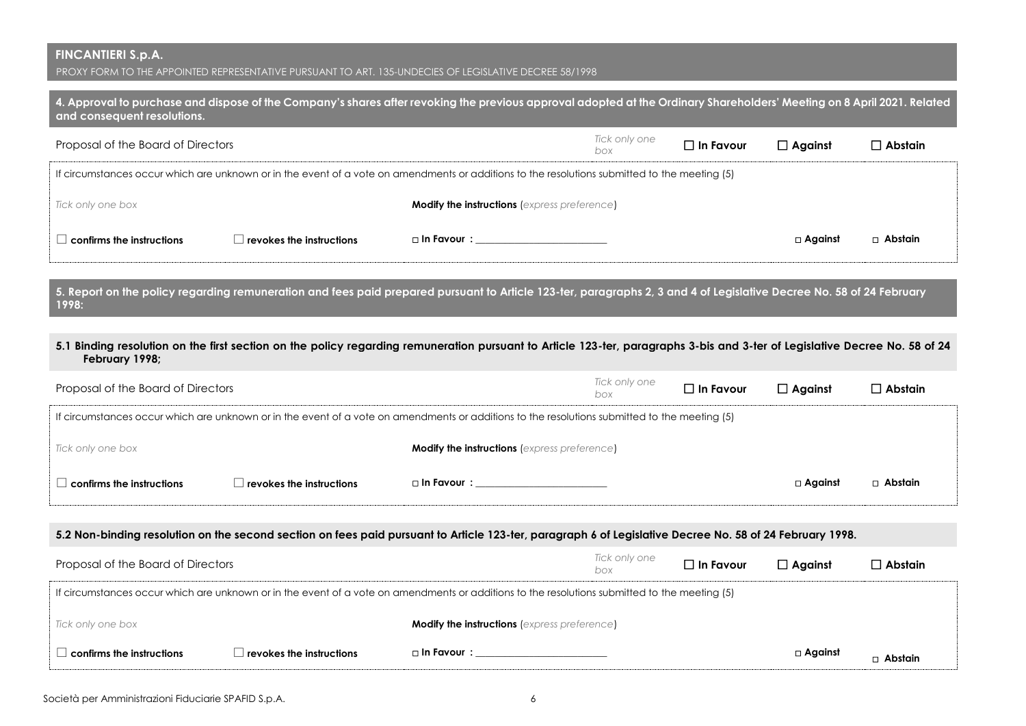PROXY FORM TO THE APPOINTED REPRESENTATIVE PURSUANT TO ART. 135-UNDECIES OF LEGISLATIVE DECREE 58/1998

| 4. Approval to purchase and dispose of the Company's shares after revoking the previous approval adopted at the Ordinary Shareholders' Meeting on 8 April 2021. Related<br>and consequent resolutions. |                                 |                                                                                                                                                                             |                      |                  |                |                |
|--------------------------------------------------------------------------------------------------------------------------------------------------------------------------------------------------------|---------------------------------|-----------------------------------------------------------------------------------------------------------------------------------------------------------------------------|----------------------|------------------|----------------|----------------|
| Proposal of the Board of Directors                                                                                                                                                                     |                                 |                                                                                                                                                                             | Tick only one<br>box | $\Box$ In Favour | $\Box$ Against | $\Box$ Abstain |
|                                                                                                                                                                                                        |                                 | If circumstances occur which are unknown or in the event of a vote on amendments or additions to the resolutions submitted to the meeting (5)                               |                      |                  |                |                |
| Tick only one box                                                                                                                                                                                      |                                 | <b>Modify the instructions (express preference)</b>                                                                                                                         |                      |                  |                |                |
| $\Box$ confirms the instructions                                                                                                                                                                       | $\Box$ revokes the instructions | □ In Favour : ____________________________                                                                                                                                  |                      |                  | $\Box$ Against | □ Abstain      |
| 1998:                                                                                                                                                                                                  |                                 | 5. Report on the policy regarding remuneration and fees paid prepared pursuant to Article 123-ter, paragraphs 2, 3 and 4 of Legislative Decree No. 58 of 24 February        |                      |                  |                |                |
| February 1998;                                                                                                                                                                                         |                                 | 5.1 Binding resolution on the first section on the policy regarding remuneration pursuant to Article 123-ter, paragraphs 3-bis and 3-ter of Legislative Decree No. 58 of 24 |                      |                  |                |                |
| Proposal of the Board of Directors                                                                                                                                                                     |                                 |                                                                                                                                                                             | Tick only one<br>box | $\Box$ In Favour | $\Box$ Against | $\Box$ Abstain |
|                                                                                                                                                                                                        |                                 | If circumstances occur which are unknown or in the event of a vote on amendments or additions to the resolutions submitted to the meeting (5)                               |                      |                  |                |                |
| Tick only one box                                                                                                                                                                                      |                                 | <b>Modify the instructions (express preference)</b>                                                                                                                         |                      |                  |                |                |
| $\Box$ confirms the instructions                                                                                                                                                                       | $\Box$ revokes the instructions | □ In Favour : __________________________                                                                                                                                    |                      |                  | $\Box$ Against | □ Abstain      |
| 5.2 Non-binding resolution on the second section on fees paid pursuant to Article 123-ter, paragraph 6 of Legislative Decree No. 58 of 24 February 1998.                                               |                                 |                                                                                                                                                                             |                      |                  |                |                |
| Proposal of the Board of Directors                                                                                                                                                                     |                                 |                                                                                                                                                                             | Tick only one<br>box | $\Box$ In Favour | $\Box$ Against | $\Box$ Abstain |
|                                                                                                                                                                                                        |                                 | If circumstances occur which are unknown or in the event of a vote on amendments or additions to the resolutions submitted to the meeting (5)                               |                      |                  |                |                |
| Tick only one box                                                                                                                                                                                      |                                 | <b>Modify the instructions (express preference)</b>                                                                                                                         |                      |                  |                |                |

**confirms the instructions revokes the instructions In Favour : \_\_\_\_\_\_\_\_\_\_\_\_\_\_\_\_\_\_\_\_\_\_\_\_\_\_\_ Against**

 **Abstain**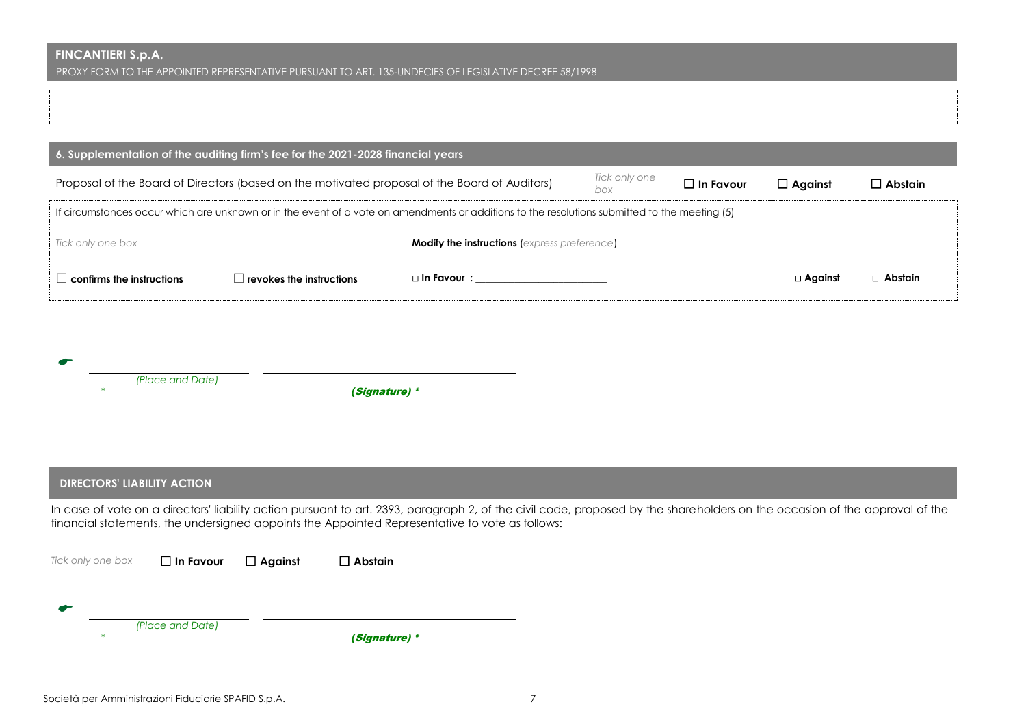PROXY FORM TO THE APPOINTED REPRESENTATIVE PURSUANT TO ART. 135-UNDECIES OF LEGISLATIVE DECREE 58/1998

| 6. Supplementation of the auditing firm's fee for the 2021-2028 financial years                                       |                                                                                                                                               |                           |                  |                   |                |                |  |
|-----------------------------------------------------------------------------------------------------------------------|-----------------------------------------------------------------------------------------------------------------------------------------------|---------------------------|------------------|-------------------|----------------|----------------|--|
| Tick only one<br>Proposal of the Board of Directors (based on the motivated proposal of the Board of Auditors)<br>box |                                                                                                                                               |                           | $\Box$ In Favour | $\square$ Aaainst | $\Box$ Abstain |                |  |
|                                                                                                                       | If circumstances occur which are unknown or in the event of a vote on amendments or additions to the resolutions submitted to the meeting (5) |                           |                  |                   |                |                |  |
| <b>Modify the instructions (express preference)</b><br>Tick only one box                                              |                                                                                                                                               |                           |                  |                   |                |                |  |
| $\Box$ confirms the instructions                                                                                      | $\,$ revokes the instructions $\,$                                                                                                            | $\Box$ In Favour $\colon$ |                  |                   | □ Against      | $\Box$ Abstain |  |

| -- |                  |               |
|----|------------------|---------------|
|    | (Place and Date) |               |
|    |                  | (Signature) * |

## **DIRECTORS' LIABILITY ACTION**

In case of vote on a directors' liability action pursuant to art. 2393, paragraph 2, of the civil code, proposed by the shareholders on the occasion of the approval of the financial statements, the undersigned appoints the Appointed Representative to vote as follows:

| Tick only one box | $\Box$ In Favour | $\Box$ Against | $\Box$ Abstain |
|-------------------|------------------|----------------|----------------|
|                   |                  |                |                |
|                   |                  |                |                |
| $\ast$            | (Place and Date) |                | (Signature) *  |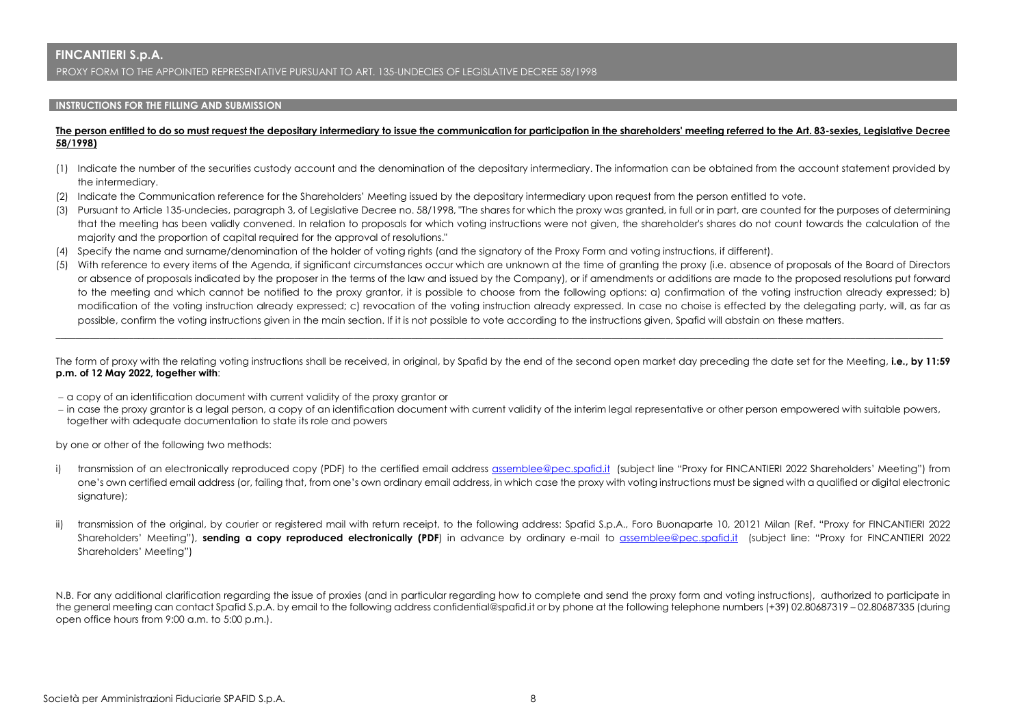PROXY FORM TO THE APPOINTED REPRESENTATIVE PURSUANT TO ART. 135-UNDECIES OF LEGISLATIVE DECREE 58/1998

#### **INSTRUCTIONS FOR THE FILLING AND SUBMISSION**

#### **The person entitled to do so must request the depositary intermediary to issue the communication for participation in the shareholders' meeting referred to the Art. 83-sexies, Legislative Decree 58/1998)**

- (1) Indicate the number of the securities custody account and the denomination of the depositary intermediary. The information can be obtained from the account statement provided by the intermediary.
- (2) Indicate the Communication reference for the Shareholders' Meeting issued by the depositary intermediary upon request from the person entitled to vote.
- (3) Pursuant to Article 135-undecies, paragraph 3, of Legislative Decree no. 58/1998, "The shares for which the proxy was granted, in full or in part, are counted for the purposes of determining that the meeting has been validly convened. In relation to proposals for which voting instructions were not given, the shareholder's shares do not count towards the calculation of the majority and the proportion of capital required for the approval of resolutions."
- (4) Specify the name and surname/denomination of the holder of voting rights (and the signatory of the Proxy Form and voting instructions, if different).
- (5) With reference to every items of the Agenda, if significant circumstances occur which are unknown at the time of granting the proxy (i.e. absence of proposals of the Board of Directors or absence of proposals indicated by the proposer in the terms of the law and issued by the Company), or if amendments or additions are made to the proposed resolutions put forward to the meeting and which cannot be notified to the proxy grantor, it is possible to choose from the following options: a) confirmation of the voting instruction already expressed; b) modification of the voting instruction already expressed; c) revocation of the voting instruction already expressed. In case no choise is effected by the delegating party, will, as far as possible, confirm the voting instructions given in the main section. If it is not possible to vote according to the instructions given, Spafid will abstain on these matters.

The form of proxy with the relating voting instructions shall be received, in original, by Spafid by the end of the second open market day preceding the date set for the Meeting, **i.e., by 11:59 p.m. of 12 May 2022, together with**:

\_\_\_\_\_\_\_\_\_\_\_\_\_\_\_\_\_\_\_\_\_\_\_\_\_\_\_\_\_\_\_\_\_\_\_\_\_\_\_\_\_\_\_\_\_\_\_\_\_\_\_\_\_\_\_\_\_\_\_\_\_\_\_\_\_\_\_\_\_\_\_\_\_\_\_\_\_\_\_\_\_\_\_\_\_\_\_\_\_\_\_\_\_\_\_\_\_\_\_\_\_\_\_\_\_\_\_\_\_\_\_\_\_\_\_\_\_\_\_\_\_\_\_\_\_\_\_\_\_\_\_\_\_\_\_\_\_\_\_\_\_\_\_\_\_\_\_\_\_\_\_\_\_\_\_\_\_\_\_\_\_\_\_\_\_\_\_\_\_\_\_\_\_\_\_\_\_\_\_\_\_\_

- a copy of an identification document with current validity of the proxy grantor or
- in case the proxy grantor is a legal person, a copy of an identification document with current validity of the interim legal representative or other person empowered with suitable powers, together with adequate documentation to state its role and powers

by one or other of the following two methods:

- i) transmission of an electronically reproduced copy (PDF) to the certified email address [assemblee@pec.spafid.it](mailto:assemblee@pec.spafid.it) (subject line "Proxy for FINCANTIERI 2022 Shareholders' Meeting") from one's own certified email address (or, failing that, from one's own ordinary email address, in which case the proxy with voting instructions must be signed with a qualified or digital electronic signature);
- ii) transmission of the original, by courier or registered mail with return receipt, to the following address: Spafid S.p.A., Foro Buonaparte 10, 20121 Milan (Ref. "Proxy for FINCANTIERI 2022 Shareholders' Meeting"), **sending a copy reproduced electronically (PDF**) in advance by ordinary e-mail to [assemblee@pec.spafid.it](mailto:assemblee@pec.spafid.it) (subject line: "Proxy for FINCANTIERI 2022 Shareholders' Meeting")

N.B. For any additional clarification regarding the issue of proxies (and in particular regarding how to complete and send the proxy form and voting instructions), authorized to participate in the general meeting can contact Spafid S.p.A. by email to the following address confidential@spafid.it or by phone at the following telephone numbers (+39) 02.80687319 – 02.80687335 (during open office hours from 9:00 a.m. to 5:00 p.m.).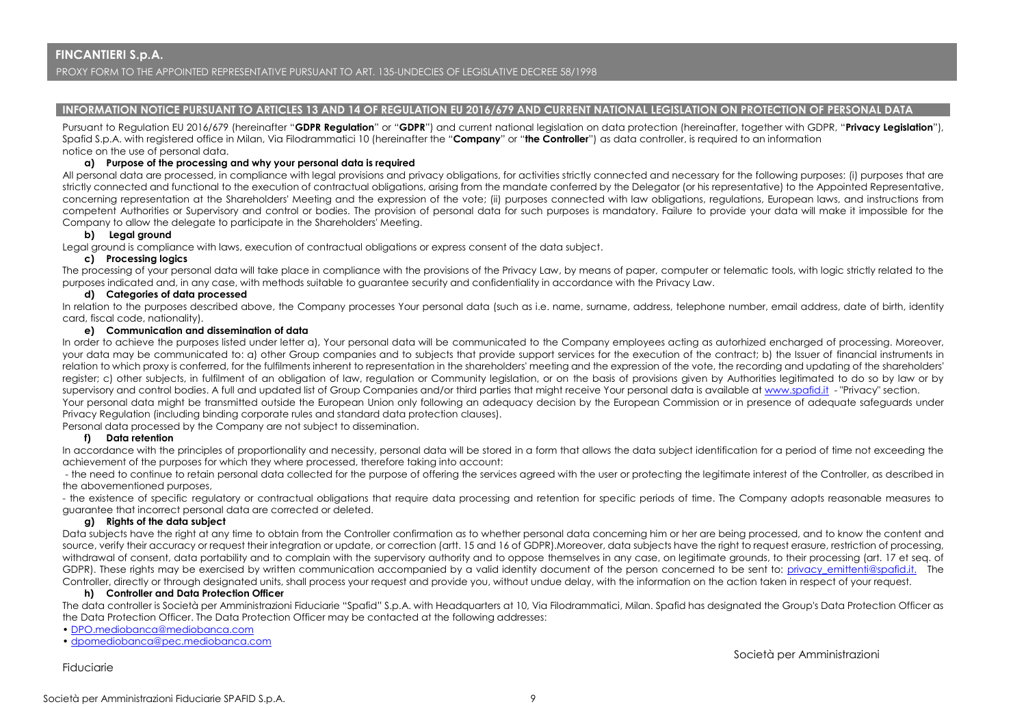PROXY FORM TO THE APPOINTED REPRESENTATIVE PURSUANT TO ART. 135-UNDECIES OF LEGISLATIVE DECREE 58/1998

#### **INFORMATION NOTICE PURSUANT TO ARTICLES 13 AND 14 OF REGULATION EU 2016/679 AND CURRENT NATIONAL LEGISLATION ON PROTECTION OF PERSONAL DATA**

Pursuant to Regulation EU 2016/679 (hereinafter "**GDPR Regulation**" or "**GDPR**") and current national legislation on data protection (hereinafter, together with GDPR, "**Privacy Legislation**"), Spafid S.p.A. with registered office in Milan, Via Filodrammatici 10 (hereinafter the "**Company**" or "**the Controller**") as data controller, is required to an information notice on the use of personal data.

#### **a) Purpose of the processing and why your personal data is required**

All personal data are processed, in compliance with legal provisions and privacy obligations, for activities strictly connected and necessary for the following purposes: (i) purposes that are strictly connected and functional to the execution of contractual obligations, arising from the mandate conferred by the Delegator (or his representative) to the Appointed Representative, concerning representation at the Shareholders' Meeting and the expression of the vote; (ii) purposes connected with law obligations, regulations, European laws, and instructions from competent Authorities or Supervisory and control or bodies. The provision of personal data for such purposes is mandatory. Failure to provide your data will make it impossible for the Company to allow the delegate to participate in the Shareholders' Meeting.

### **b) Legal ground**

Legal ground is compliance with laws, execution of contractual obligations or express consent of the data subject.

#### **c) Processing logics**

The processing of your personal data will take place in compliance with the provisions of the Privacy Law, by means of paper, computer or telematic tools, with logic strictly related to the purposes indicated and, in any case, with methods suitable to guarantee security and confidentiality in accordance with the Privacy Law.

#### **d) Categories of data processed**

In relation to the purposes described above, the Company processes Your personal data (such as i.e. name, surname, address, telephone number, email address, date of birth, identity card, fiscal code, nationality).

#### **e) Communication and dissemination of data**

In order to achieve the purposes listed under letter a), Your personal data will be communicated to the Company employees acting as autorhized encharged of processing. Moreover, your data may be communicated to: a) other Group companies and to subjects that provide support services for the execution of the contract; b) the Issuer of financial instruments in relation to which proxy is conferred, for the fulfilments inherent to representation in the shareholders' meeting and the expression of the vote, the recording and updating of the shareholders' register; c) other subjects, in fulfilment of an obligation of law, regulation or Community legislation, or on the basis of provisions given by Authorities legitimated to do so by law or by supervisory and control bodies. A full and updated list of Group Companies and/or third parties that might receive Your personal data is available a[t www.spafid.it](http://www.spafid.it/) - "Privacy" section. Your personal data might be transmitted outside the European Union only following an adequacy decision by the European Commission or in presence of adequate safeguards under Privacy Regulation (including binding corporate rules and standard data protection clauses).

Personal data processed by the Company are not subject to dissemination.

### **f) Data retention**

In accordance with the principles of proportionality and necessity, personal data will be stored in a form that allows the data subject identification for a period of time not exceeding the achievement of the purposes for which they where processed, therefore taking into account:

- the need to continue to retain personal data collected for the purpose of offering the services agreed with the user or protecting the legitimate interest of the Controller, as described in the abovementioned purposes,

- the existence of specific regulatory or contractual obligations that require data processing and retention for specific periods of time. The Company adopts reasonable measures to guarantee that incorrect personal data are corrected or deleted.

#### **g) Rights of the data subject**

Data subjects have the right at any time to obtain from the Controller confirmation as to whether personal data concerning him or her are being processed, and to know the content and source, verify their accuracy or request their integration or update, or correction (artt. 15 and 16 of GDPR).Moreover, data subjects have the right to request erasure, restriction of processing, withdrawal of consent, data portability and to complain with the supervisory authority and to oppose themselves in any case, on legitimate grounds, to their processing (art. 17 et seg. of GDPR). These rights may be exercised by written communication accompanied by a valid identity document of the person concerned to be sent to: privacy emittenti@spafid.it. The Controller, directly or through designated units, shall process your request and provide you, without undue delay, with the information on the action taken in respect of your request.

#### **h) Controller and Data Protection Officer**

The data controller is Società per Amministrazioni Fiduciarie "Spafid" S.p.A. with Headquarters at 10, Via Filodrammatici, Milan. Spafid has designated the Group's Data Protection Officer as the Data Protection Officer. The Data Protection Officer may be contacted at the following addresses:

- [DPO.mediobanca@mediobanca.com](mailto:DPO.mediobanca@mediobanca.com)
- [dpomediobanca@pec.mediobanca.com](mailto:dpomediobanca@pec.mediobanca.com)

Fiduciarie

Società per Amministrazioni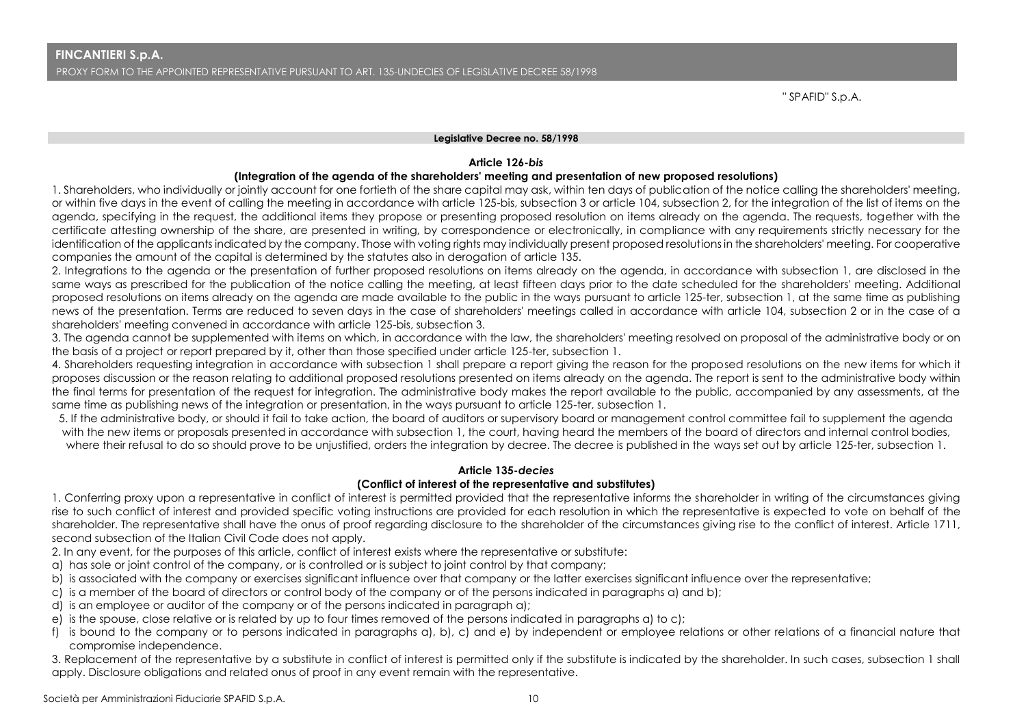" SPAFID" S.p.A.

### **Legislative Decree no. 58/1998**

## **Article 126-***bis*

## **(Integration of the agenda of the shareholders' meeting and presentation of new proposed resolutions)**

1. Shareholders, who individually or jointly account for one fortieth of the share capital may ask, within ten days of publication of the notice calling the shareholders' meeting, or within five days in the event of calling the meeting in accordance with article 125-bis, subsection 3 or article 104, subsection 2, for the integration of the list of items on the agenda, specifying in the request, the additional items they propose or presenting proposed resolution on items already on the agenda. The requests, together with the certificate attesting ownership of the share, are presented in writing, by correspondence or electronically, in compliance with any requirements strictly necessary for the identification of the applicants indicated by the company. Those with voting rights may individually present proposed resolutions in the shareholders' meeting. For cooperative companies the amount of the capital is determined by the statutes also in derogation of article 135.

2. Integrations to the agenda or the presentation of further proposed resolutions on items already on the agenda, in accordance with subsection 1, are disclosed in the same ways as prescribed for the publication of the notice calling the meeting, at least fifteen days prior to the date scheduled for the shareholders' meeting. Additional proposed resolutions on items already on the agenda are made available to the public in the ways pursuant to article 125-ter, subsection 1, at the same time as publishing news of the presentation. Terms are reduced to seven days in the case of shareholders' meetings called in accordance with article 104, subsection 2 or in the case of a shareholders' meeting convened in accordance with article 125-bis, subsection 3.

3. The agenda cannot be supplemented with items on which, in accordance with the law, the shareholders' meeting resolved on proposal of the administrative body or on the basis of a project or report prepared by it, other than those specified under article 125-ter, subsection 1.

4. Shareholders requesting integration in accordance with subsection 1 shall prepare a report giving the reason for the proposed resolutions on the new items for which it proposes discussion or the reason relating to additional proposed resolutions presented on items already on the agenda. The report is sent to the administrative body within the final terms for presentation of the request for integration. The administrative body makes the report available to the public, accompanied by any assessments, at the same time as publishing news of the integration or presentation, in the ways pursuant to article 125-ter, subsection 1.

5. If the administrative body, or should it fail to take action, the board of auditors or supervisory board or management control committee fail to supplement the agenda with the new items or proposals presented in accordance with subsection 1, the court, having heard the members of the board of directors and internal control bodies, where their refusal to do so should prove to be unjustified, orders the integration by decree. The decree is published in the ways set out by article 125-ter, subsection 1.

## **Article 135-***decies*

## **(Conflict of interest of the representative and substitutes)**

1. Conferring proxy upon a representative in conflict of interest is permitted provided that the representative informs the shareholder in writing of the circumstances giving rise to such conflict of interest and provided specific voting instructions are provided for each resolution in which the representative is expected to vote on behalf of the shareholder. The representative shall have the onus of proof regarding disclosure to the shareholder of the circumstances giving rise to the conflict of interest. Article 1711, second subsection of the Italian Civil Code does not apply.

- 2. In any event, for the purposes of this article, conflict of interest exists where the representative or substitute:
- a) has sole or joint control of the company, or is controlled or is subject to joint control by that company;
- b) is associated with the company or exercises significant influence over that company or the latter exercises significant influence over the representative;
- c) is a member of the board of directors or control body of the company or of the persons indicated in paragraphs a) and b);
- d) is an employee or auditor of the company or of the persons indicated in paragraph a);
- e) is the spouse, close relative or is related by up to four times removed of the persons indicated in paragraphs a) to c);
- f) is bound to the company or to persons indicated in paragraphs a), b), c) and e) by independent or employee relations or other relations of a financial nature that compromise independence.

3. Replacement of the representative by a substitute in conflict of interest is permitted only if the substitute is indicated by the shareholder. In such cases, subsection 1 shall apply. Disclosure obligations and related onus of proof in any event remain with the representative.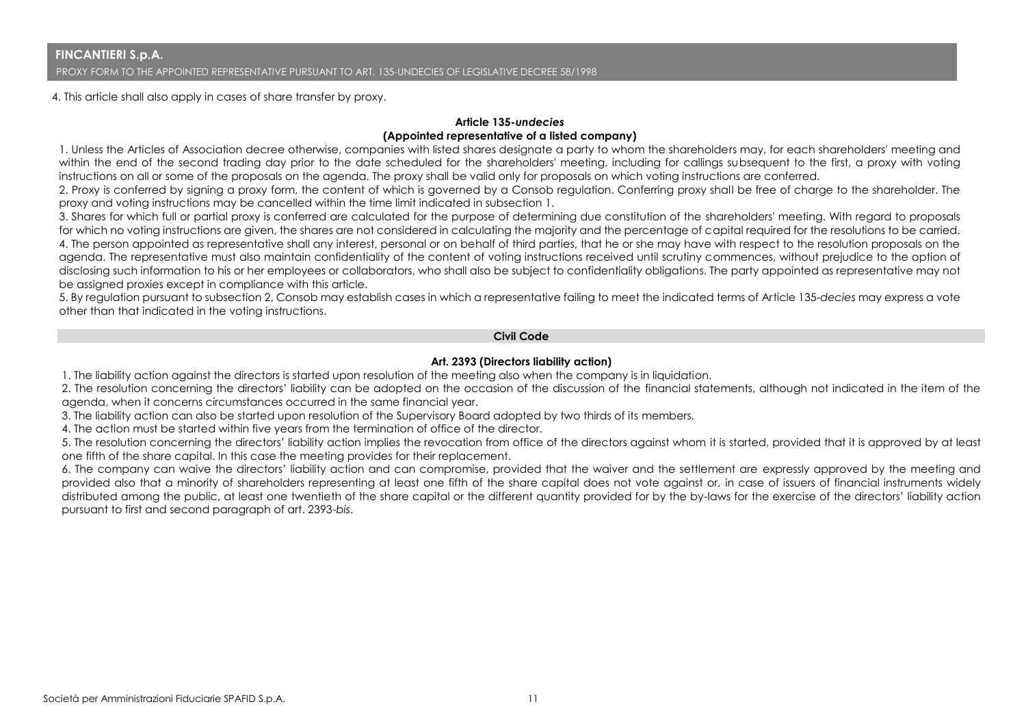4. This article shall also apply in cases of share transfer by proxy.

## **Article 135-***undecies* **(Appointed representative of a listed company)**

1. Unless the Articles of Association decree otherwise, companies with listed shares designate a party to whom the shareholders may, for each shareholders' meeting and within the end of the second trading day prior to the date scheduled for the shareholders' meeting, including for callings subsequent to the first, a proxy with voting instructions on all or some of the proposals on the agenda. The proxy shall be valid only for proposals on which voting instructions are conferred.

2. Proxy is conferred by signing a proxy form, the content of which is governed by a Consob regulation. Conferring proxy shall be free of charge to the shareholder. The proxy and voting instructions may be cancelled within the time limit indicated in subsection 1.

3. Shares for which full or partial proxy is conferred are calculated for the purpose of determining due constitution of the shareholders' meeting. With regard to proposals for which no voting instructions are given, the shares are not considered in calculating the majority and the percentage of capital required for the resolutions to be carried. 4. The person appointed as representative shall any interest, personal or on behalf of third parties, that he or she may have with respect to the resolution proposals on the agenda. The representative must also maintain confidentiality of the content of voting instructions received until scrutiny commences, without prejudice to the option of disclosing such information to his or her employees or collaborators, who shall also be subject to confidentiality obligations. The party appointed as representative may not be assigned proxies except in compliance with this article.

5. By regulation pursuant to subsection 2, Consob may establish cases in which a representative failing to meet the indicated terms of Article 135-*decies* may express a vote other than that indicated in the voting instructions.

# **Civil Code**

## **Art. 2393 (Directors liability action)**

1. The liability action against the directors is started upon resolution of the meeting also when the company is in liquidation.

2. The resolution concerning the directors' liability can be adopted on the occasion of the discussion of the financial statements, although not indicated in the item of the agenda, when it concerns circumstances occurred in the same financial year.

3. The liability action can also be started upon resolution of the Supervisory Board adopted by two thirds of its members.

4. The action must be started within five years from the termination of office of the director.

5. The resolution concerning the directors' liability action implies the revocation from office of the directors against whom it is started, provided that it is approved by at least one fifth of the share capital. In this case the meeting provides for their replacement.

6. The company can waive the directors' liability action and can compromise, provided that the waiver and the settlement are expressly approved by the meeting and provided also that a minority of shareholders representing at least one fifth of the share capital does not vote against or, in case of issuers of financial instruments widely distributed among the public, at least one twentieth of the share capital or the different quantity provided for by the by-laws for the exercise of the directors' liability action pursuant to first and second paragraph of art. 2393-*bis*.